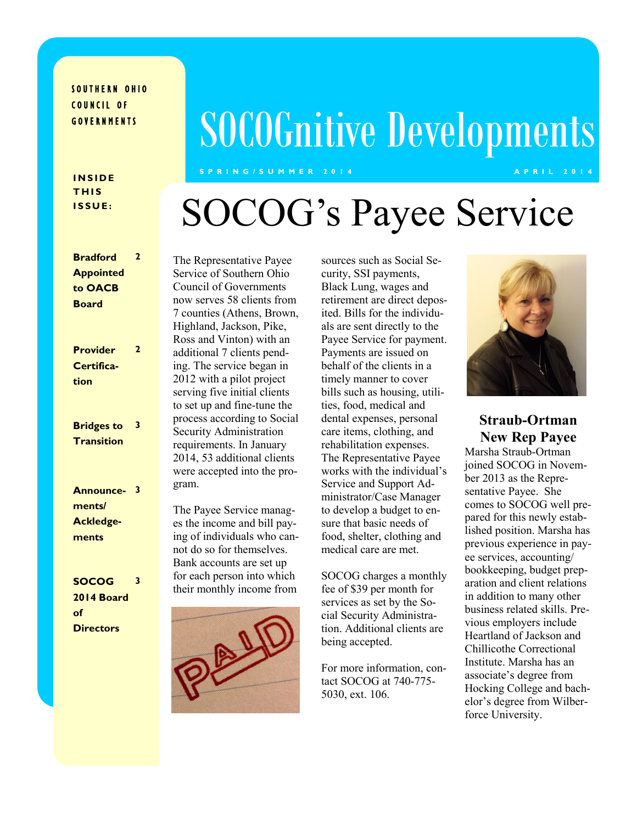#### SOUTHERN OHIO COUNCIL OF **GOVERNMENTS**

# SOCOGnitive Developments

**S P R I N G / S U M M E R 2 0 1 4 A P R I L 2 0 1 4**

#### **I N S I D E T H I S I S S U E :**

**Bradford** 

# SOCOG's Payee Service

| <b>Bradford</b><br>$\overline{2}$                                                                      | The Repres    |
|--------------------------------------------------------------------------------------------------------|---------------|
| <b>Appointed</b>                                                                                       | Service of 9  |
| to OACB                                                                                                | Council of    |
| <b>Board</b>                                                                                           | now serves    |
|                                                                                                        | 7 counties (  |
|                                                                                                        | Highland, J   |
|                                                                                                        | Ross and V    |
| $\mathbf{2}$<br><b>Provider</b>                                                                        | additional 7  |
| Certifica-                                                                                             | ing. The set  |
| tion                                                                                                   | $2012$ with a |
|                                                                                                        | serving five  |
|                                                                                                        | to set up an  |
| 3                                                                                                      | process acc   |
| <b>Bridges to</b>                                                                                      | Security Ao   |
| <b>Transition</b>                                                                                      | requiremen    |
|                                                                                                        | 2014, 53 ac   |
|                                                                                                        | were accep    |
| $\overline{\mathbf{3}}$<br><b>Announce-</b>                                                            | gram.         |
| ments/                                                                                                 |               |
|                                                                                                        | The Payee     |
| <b>Ackledge-</b>                                                                                       | es the incor  |
| ments                                                                                                  | ing of indiv  |
|                                                                                                        | not do so fo  |
|                                                                                                        | Bank accou    |
| <b>SOCOG</b><br>3                                                                                      | for each per  |
| $\begin{array}{ccc}\n\bullet & \bullet & \bullet & \bullet & \bullet & \bullet & \bullet\n\end{array}$ | their month   |

#### **2014 Board of Directors**

sentative Payee Southern Ohio **Governments** 58 clients from Athens, Brown, Jackson, Pike,  $V$ inton) with an 7 clients pendrvice began in a pilot project e initial clients d fine-tune the cording to Social dministration ts. In January dditional clients ted into the pro-

Service managme and bill payiduals who canor themselves. ants are set up rson into which ly income from



sources such as Social Security, SSI payments, Black Lung, wages and retirement are direct deposited. Bills for the individuals are sent directly to the Payee Service for payment. Payments are issued on behalf of the clients in a timely manner to cover bills such as housing, utilities, food, medical and dental expenses, personal care items, clothing, and rehabilitation expenses. The Representative Payee works with the individual's Service and Support Administrator/Case Manager to develop a budget to ensure that basic needs of food, shelter, clothing and medical care are met.

SOCOG charges a monthly fee of \$39 per month for services as set by the Social Security Administration. Additional clients are being accepted.

For more information, contact SOCOG at 740-775- 5030, ext. 106.



**Straub-Ortman New Rep Payee**

Marsha Straub-Ortman joined SOCOG in November 2013 as the Representative Payee. She comes to SOCOG well prepared for this newly established position. Marsha has previous experience in payee services, accounting/ bookkeeping, budget preparation and client relations in addition to many other business related skills. Previous employers include Heartland of Jackson and Chillicothe Correctional Institute. Marsha has an associate's degree from Hocking College and bachelor's degree from Wilberforce University.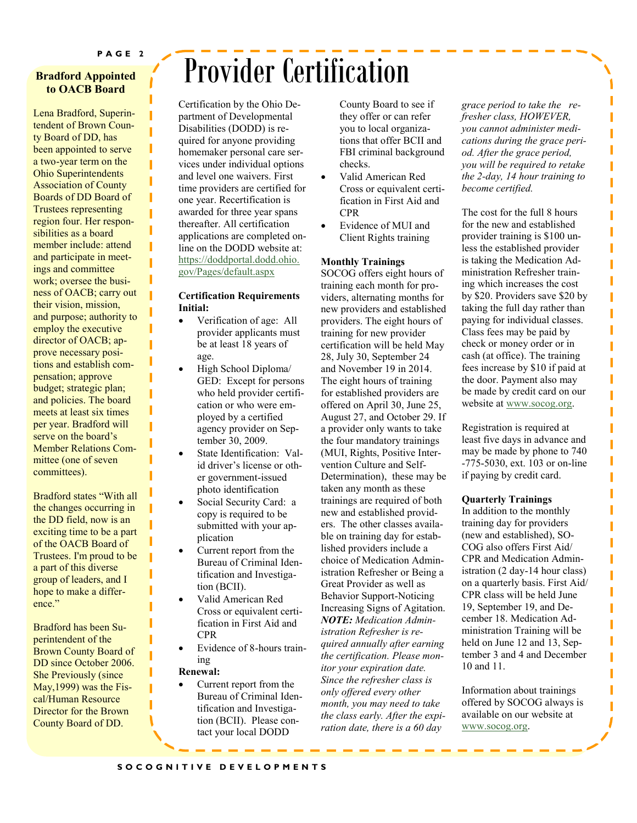#### **Bradford Appointed to OACB Board**

Lena Bradford, Superintendent of Brown County Board of DD, has been appointed to serve a two-year term on the Ohio Superintendents Association of County Boards of DD Board of Trustees representing region four. Her responsibilities as a board member include: attend and participate in meetings and committee work; oversee the business of OACB; carry out their vision, mission, and purpose; authority to employ the executive director of OACB; approve necessary positions and establish compensation; approve budget; strategic plan; and policies. The board meets at least six times per year. Bradford will serve on the board's Member Relations Committee (one of seven committees).

Bradford states "With all the changes occurring in the DD field, now is an exciting time to be a part of the OACB Board of Trustees. I'm proud to be a part of this diverse group of leaders, and I hope to make a difference."

Bradford has been Superintendent of the Brown County Board of DD since October 2006. She Previously (since May,1999) was the Fiscal/Human Resource Director for the Brown County Board of DD.

## Provider Certification

Certification by the Ohio Department of Developmental Disabilities (DODD) is required for anyone providing homemaker personal care services under individual options and level one waivers. First time providers are certified for one year. Recertification is awarded for three year spans thereafter. All certification applications are completed online on the DODD website at: [https://doddportal.dodd.ohio.](https://doddportal.dodd.ohio.gov/Pages/default.aspx)  [gov/Pages/default.aspx](https://doddportal.dodd.ohio.gov/Pages/default.aspx)

#### **Certification Requirements Initial:**

- Verification of age: All provider applicants must be at least 18 years of age.
- High School Diploma/ GED: Except for persons who held provider certification or who were employed by a certified agency provider on September 30, 2009.
- State Identification: Valid driver's license or other government-issued photo identification
- Social Security Card: a copy is required to be submitted with your application
- Current report from the Bureau of Criminal Identification and Investigation (BCII).
- Valid American Red Cross or equivalent certification in First Aid and CPR
- Evidence of 8-hours training

#### **Renewal:**

 Current report from the Bureau of Criminal Identification and Investigation (BCII). Please contact your local DODD

County Board to see if they offer or can refer you to local organizations that offer BCII and FBI criminal background checks.

- Valid American Red Cross or equivalent certification in First Aid and CPR
- Evidence of MUI and Client Rights training

#### **Monthly Trainings**

SOCOG offers eight hours of training each month for providers, alternating months for new providers and established providers. The eight hours of training for new provider certification will be held May 28, July 30, September 24 and November 19 in 2014. The eight hours of training for established providers are offered on April 30, June 25, August 27, and October 29. If a provider only wants to take the four mandatory trainings (MUI, Rights, Positive Intervention Culture and Self-Determination), these may be taken any month as these trainings are required of both new and established providers. The other classes available on training day for established providers include a choice of Medication Administration Refresher or Being a Great Provider as well as Behavior Support-Noticing Increasing Signs of Agitation. *NOTE: Medication Administration Refresher is required annually after earning the certification. Please monitor your expiration date. Since the refresher class is only offered every other month, you may need to take the class early. After the expiration date, there is a 60 day* 

*grace period to take the refresher class, HOWEVER, you cannot administer medications during the grace period. After the grace period, you will be required to retake the 2-day, 14 hour training to become certified.*

ı

ı I I ı ı Π Ī Π Ï

ı Π I Ī ı

> Ī ī ı ı I Ī Ī ı ı

The cost for the full 8 hours for the new and established provider training is \$100 unless the established provider is taking the Medication Administration Refresher training which increases the cost by \$20. Providers save \$20 by taking the full day rather than paying for individual classes. Class fees may be paid by check or money order or in cash (at office). The training fees increase by \$10 if paid at the door. Payment also may be made by credit card on our website at [www.socog.org.](http://www.socog.org)

Registration is required at least five days in advance and may be made by phone to 740 -775-5030, ext. 103 or on-line if paying by credit card.

#### **Quarterly Trainings**

In addition to the monthly training day for providers (new and established), SO-COG also offers First Aid/ CPR and Medication Administration (2 day-14 hour class) on a quarterly basis. First Aid/ CPR class will be held June 19, September 19, and December 18. Medication Administration Training will be held on June 12 and 13, September 3 and 4 and December 10 and 11.

Information about trainings offered by SOCOG always is available on our website at [www.socog.org.](http://www.socog.org)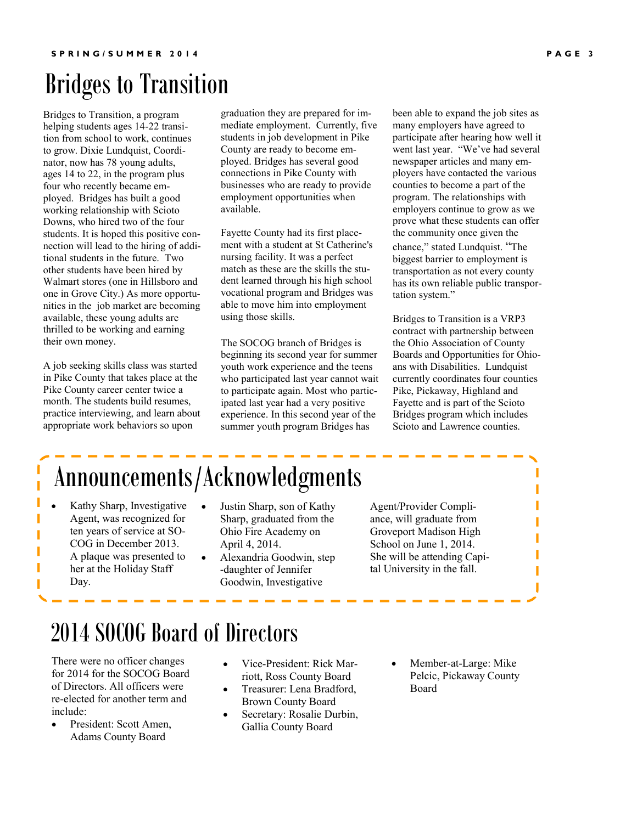## Bridges to Transition

Bridges to Transition, a program helping students ages 14-22 transition from school to work, continues to grow. Dixie Lundquist, Coordinator, now has 78 young adults, ages 14 to 22, in the program plus four who recently became employed. Bridges has built a good working relationship with Scioto Downs, who hired two of the four students. It is hoped this positive connection will lead to the hiring of additional students in the future. Two other students have been hired by Walmart stores (one in Hillsboro and one in Grove City.) As more opportunities in the job market are becoming available, these young adults are thrilled to be working and earning their own money.

A job seeking skills class was started in Pike County that takes place at the Pike County career center twice a month. The students build resumes, practice interviewing, and learn about appropriate work behaviors so upon

graduation they are prepared for immediate employment. Currently, five students in job development in Pike County are ready to become employed. Bridges has several good connections in Pike County with businesses who are ready to provide employment opportunities when available.

Fayette County had its first placement with a student at St Catherine's nursing facility. It was a perfect match as these are the skills the student learned through his high school vocational program and Bridges was able to move him into employment using those skills.

The SOCOG branch of Bridges is beginning its second year for summer youth work experience and the teens who participated last year cannot wait to participate again. Most who participated last year had a very positive experience. In this second year of the summer youth program Bridges has

been able to expand the job sites as many employers have agreed to participate after hearing how well it went last year. "We've had several newspaper articles and many employers have contacted the various counties to become a part of the program. The relationships with employers continue to grow as we prove what these students can offer the community once given the chance," stated Lundquist. "The biggest barrier to employment is transportation as not every county has its own reliable public transportation system."

Bridges to Transition is a VRP3 contract with partnership between the Ohio Association of County Boards and Opportunities for Ohioans with Disabilities. Lundquist currently coordinates four counties Pike, Pickaway, Highland and Fayette and is part of the Scioto Bridges program which includes Scioto and Lawrence counties.

## Announcements/Acknowledgments

 Kathy Sharp, Investigative Agent, was recognized for ten years of service at SO-COG in December 2013. A plaque was presented to her at the Holiday Staff Day.

Ī

- Justin Sharp, son of Kathy Sharp, graduated from the Ohio Fire Academy on April 4, 2014.
- Alexandria Goodwin, step -daughter of Jennifer Goodwin, Investigative

Agent/Provider Compliance, will graduate from Groveport Madison High School on June 1, 2014. She will be attending Capital University in the fall.

### 2014 SOCOG Board of Directors

There were no officer changes for 2014 for the SOCOG Board of Directors. All officers were re-elected for another term and include:

- President: Scott Amen, Adams County Board
- Vice-President: Rick Marriott, Ross County Board
- Treasurer: Lena Bradford, Brown County Board
- Secretary: Rosalie Durbin, Gallia County Board
- Member-at-Large: Mike Pelcic, Pickaway County Board